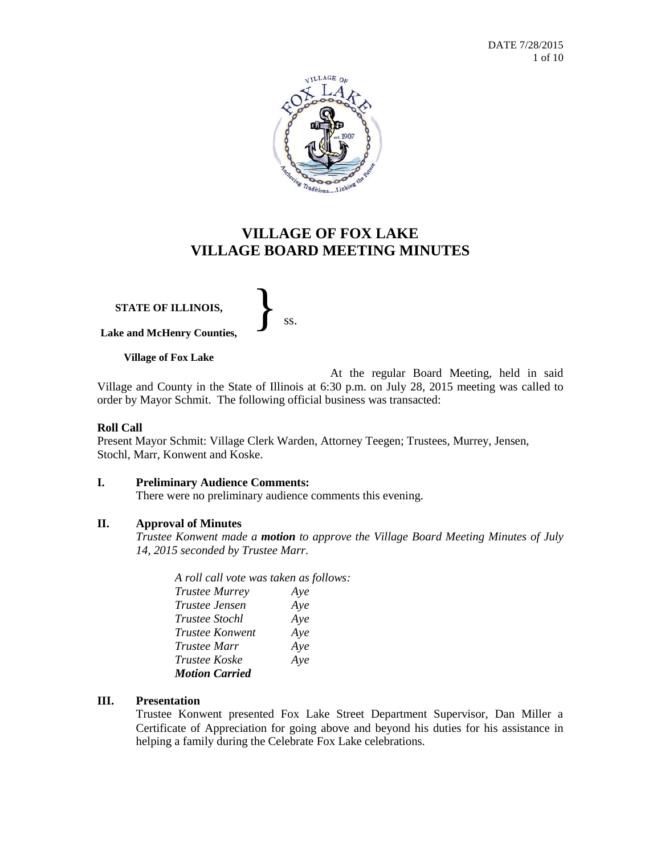

# **VILLAGE OF FOX LAKE VILLAGE BOARD MEETING MINUTES**

**STATE OF ILLINOIS,**

}<br>*ss.* 

**Village of Fox Lake**

**Lake and McHenry Counties,**

At the regular Board Meeting, held in said Village and County in the State of Illinois at 6:30 p.m. on July 28, 2015 meeting was called to order by Mayor Schmit. The following official business was transacted:

## **Roll Call**

Present Mayor Schmit: Village Clerk Warden, Attorney Teegen; Trustees, Murrey, Jensen, Stochl, Marr, Konwent and Koske.

## **I. Preliminary Audience Comments:**

There were no preliminary audience comments this evening.

## **II. Approval of Minutes**

*Trustee Konwent made a motion to approve the Village Board Meeting Minutes of July 14, 2015 seconded by Trustee Marr.*

| A roll call vote was taken as follows: |     |
|----------------------------------------|-----|
| <b>Trustee Murrey</b>                  | Aye |
| Trustee Jensen                         | Aye |
| <i>Trustee Stochl</i>                  | Aye |
| <b>Trustee Konwent</b>                 | Aye |
| Trustee Marr                           | Aye |
| <i>Trustee Koske</i>                   | Aye |
| <b>Motion Carried</b>                  |     |

## **III. Presentation**

Trustee Konwent presented Fox Lake Street Department Supervisor, Dan Miller a Certificate of Appreciation for going above and beyond his duties for his assistance in helping a family during the Celebrate Fox Lake celebrations.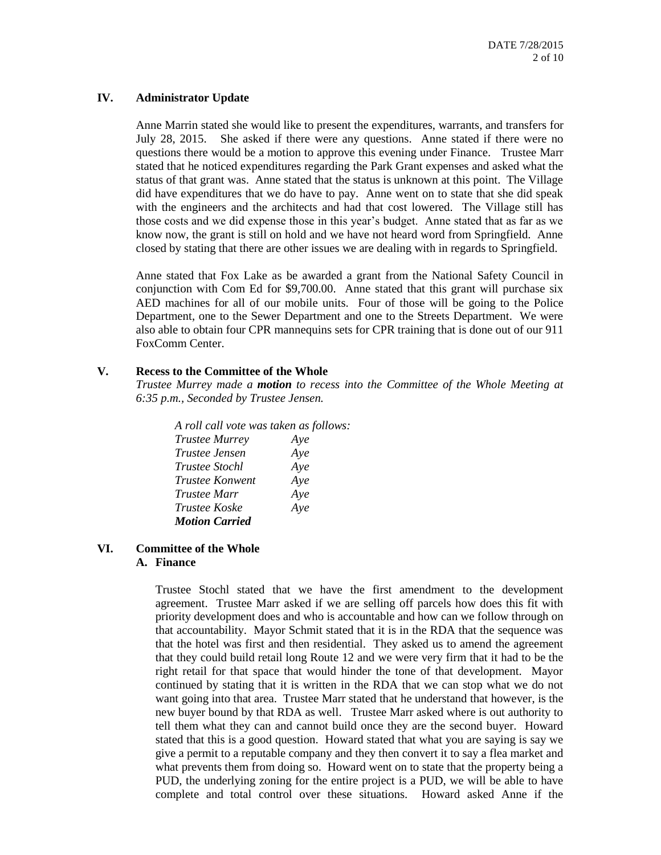#### **IV. Administrator Update**

Anne Marrin stated she would like to present the expenditures, warrants, and transfers for July 28, 2015. She asked if there were any questions. Anne stated if there were no questions there would be a motion to approve this evening under Finance. Trustee Marr stated that he noticed expenditures regarding the Park Grant expenses and asked what the status of that grant was. Anne stated that the status is unknown at this point. The Village did have expenditures that we do have to pay. Anne went on to state that she did speak with the engineers and the architects and had that cost lowered. The Village still has those costs and we did expense those in this year's budget. Anne stated that as far as we know now, the grant is still on hold and we have not heard word from Springfield. Anne closed by stating that there are other issues we are dealing with in regards to Springfield.

Anne stated that Fox Lake as be awarded a grant from the National Safety Council in conjunction with Com Ed for \$9,700.00. Anne stated that this grant will purchase six AED machines for all of our mobile units. Four of those will be going to the Police Department, one to the Sewer Department and one to the Streets Department. We were also able to obtain four CPR mannequins sets for CPR training that is done out of our 911 FoxComm Center.

## **V. Recess to the Committee of the Whole**

*Trustee Murrey made a motion to recess into the Committee of the Whole Meeting at 6:35 p.m., Seconded by Trustee Jensen.*

*A roll call vote was taken as follows: Trustee Murrey Aye Trustee Jensen Aye Trustee Stochl Aye Trustee Konwent Aye Trustee Marr Aye Trustee Koske Aye Motion Carried*

#### **VI. Committee of the Whole A. Finance**

Trustee Stochl stated that we have the first amendment to the development agreement. Trustee Marr asked if we are selling off parcels how does this fit with priority development does and who is accountable and how can we follow through on that accountability. Mayor Schmit stated that it is in the RDA that the sequence was that the hotel was first and then residential. They asked us to amend the agreement that they could build retail long Route 12 and we were very firm that it had to be the right retail for that space that would hinder the tone of that development. Mayor continued by stating that it is written in the RDA that we can stop what we do not want going into that area. Trustee Marr stated that he understand that however, is the new buyer bound by that RDA as well. Trustee Marr asked where is out authority to tell them what they can and cannot build once they are the second buyer. Howard stated that this is a good question. Howard stated that what you are saying is say we give a permit to a reputable company and they then convert it to say a flea market and what prevents them from doing so. Howard went on to state that the property being a PUD, the underlying zoning for the entire project is a PUD, we will be able to have complete and total control over these situations. Howard asked Anne if the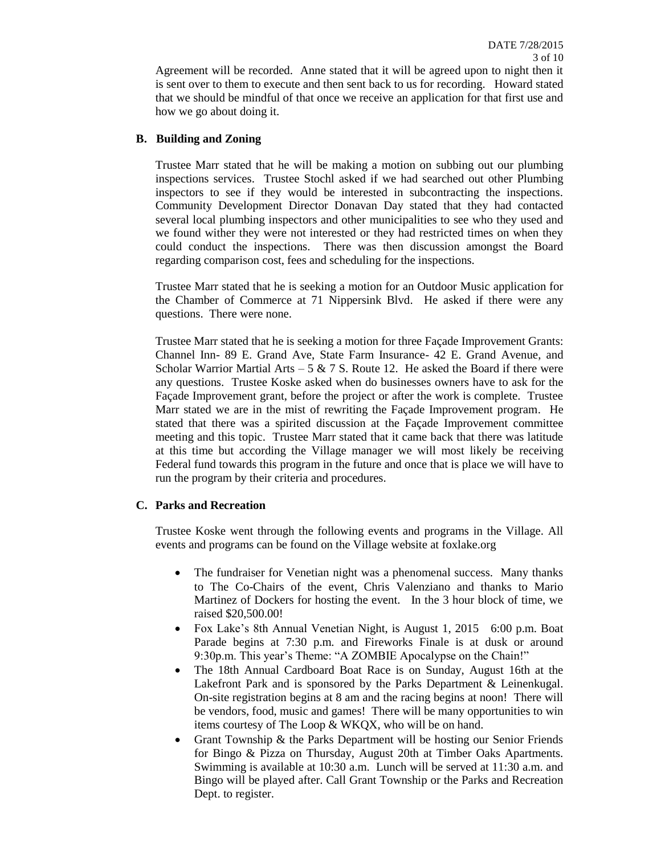Agreement will be recorded. Anne stated that it will be agreed upon to night then it is sent over to them to execute and then sent back to us for recording. Howard stated that we should be mindful of that once we receive an application for that first use and how we go about doing it.

## **B. Building and Zoning**

Trustee Marr stated that he will be making a motion on subbing out our plumbing inspections services. Trustee Stochl asked if we had searched out other Plumbing inspectors to see if they would be interested in subcontracting the inspections. Community Development Director Donavan Day stated that they had contacted several local plumbing inspectors and other municipalities to see who they used and we found wither they were not interested or they had restricted times on when they could conduct the inspections. There was then discussion amongst the Board regarding comparison cost, fees and scheduling for the inspections.

Trustee Marr stated that he is seeking a motion for an Outdoor Music application for the Chamber of Commerce at 71 Nippersink Blvd. He asked if there were any questions. There were none.

Trustee Marr stated that he is seeking a motion for three Façade Improvement Grants: Channel Inn- 89 E. Grand Ave, State Farm Insurance- 42 E. Grand Avenue, and Scholar Warrior Martial Arts – 5 & 7 S. Route 12. He asked the Board if there were any questions. Trustee Koske asked when do businesses owners have to ask for the Façade Improvement grant, before the project or after the work is complete. Trustee Marr stated we are in the mist of rewriting the Façade Improvement program. He stated that there was a spirited discussion at the Façade Improvement committee meeting and this topic. Trustee Marr stated that it came back that there was latitude at this time but according the Village manager we will most likely be receiving Federal fund towards this program in the future and once that is place we will have to run the program by their criteria and procedures.

# **C. Parks and Recreation**

Trustee Koske went through the following events and programs in the Village. All events and programs can be found on the Village website at foxlake.org

- The fundraiser for Venetian night was a phenomenal success. Many thanks to The Co-Chairs of the event, Chris Valenziano and thanks to Mario Martinez of Dockers for hosting the event. In the 3 hour block of time, we raised \$20,500.00!
- Fox Lake's 8th Annual Venetian Night, is August 1, 2015 6:00 p.m. Boat Parade begins at 7:30 p.m. and Fireworks Finale is at dusk or around 9:30p.m. This year's Theme: "A ZOMBIE Apocalypse on the Chain!"
- The 18th Annual Cardboard Boat Race is on Sunday, August 16th at the Lakefront Park and is sponsored by the Parks Department & Leinenkugal. On-site registration begins at 8 am and the racing begins at noon! There will be vendors, food, music and games! There will be many opportunities to win items courtesy of The Loop & WKQX, who will be on hand.
- Grant Township & the Parks Department will be hosting our Senior Friends for Bingo & Pizza on Thursday, August 20th at Timber Oaks Apartments. Swimming is available at 10:30 a.m. Lunch will be served at 11:30 a.m. and Bingo will be played after. Call Grant Township or the Parks and Recreation Dept. to register.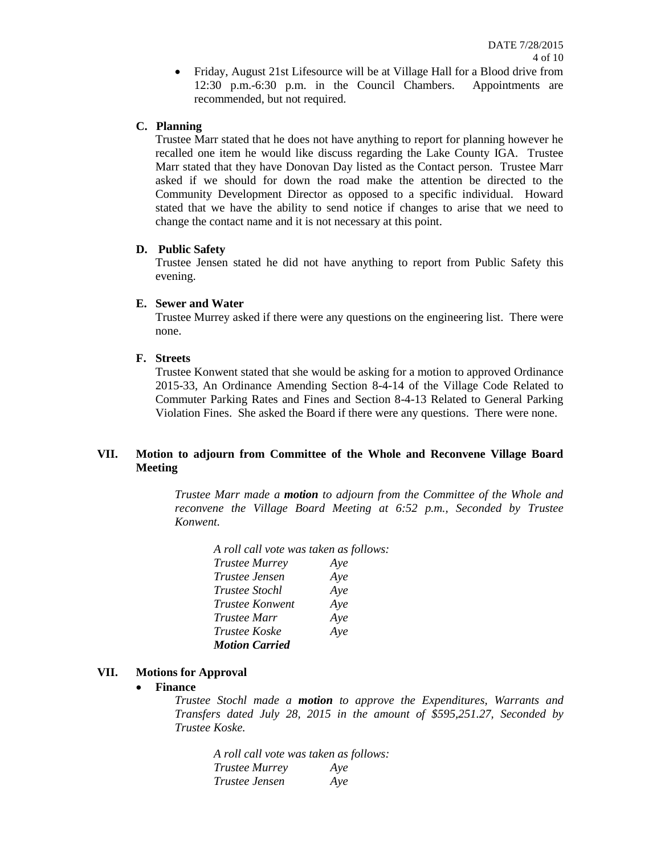Friday, August 21st Lifesource will be at Village Hall for a Blood drive from 12:30 p.m.-6:30 p.m. in the Council Chambers. Appointments are recommended, but not required.

## **C. Planning**

Trustee Marr stated that he does not have anything to report for planning however he recalled one item he would like discuss regarding the Lake County IGA. Trustee Marr stated that they have Donovan Day listed as the Contact person. Trustee Marr asked if we should for down the road make the attention be directed to the Community Development Director as opposed to a specific individual. Howard stated that we have the ability to send notice if changes to arise that we need to change the contact name and it is not necessary at this point.

#### **D. Public Safety**

Trustee Jensen stated he did not have anything to report from Public Safety this evening.

#### **E. Sewer and Water**

Trustee Murrey asked if there were any questions on the engineering list. There were none.

#### **F. Streets**

Trustee Konwent stated that she would be asking for a motion to approved Ordinance 2015-33, An Ordinance Amending Section 8-4-14 of the Village Code Related to Commuter Parking Rates and Fines and Section 8-4-13 Related to General Parking Violation Fines. She asked the Board if there were any questions. There were none.

## **VII. Motion to adjourn from Committee of the Whole and Reconvene Village Board Meeting**

*Trustee Marr made a motion to adjourn from the Committee of the Whole and reconvene the Village Board Meeting at 6:52 p.m., Seconded by Trustee Konwent.*

| A roll call vote was taken as follows: |     |
|----------------------------------------|-----|
| <b>Trustee Murrey</b>                  | Aye |
| Trustee Jensen                         | Aye |
| <i>Trustee Stochl</i>                  | Aye |
| <i>Trustee Konwent</i>                 | Aye |
| <i>Trustee Marr</i>                    | Aye |
| <i>Trustee Koske</i>                   | Aye |
| <b>Motion Carried</b>                  |     |

## **VII. Motions for Approval**

#### **Finance**

*Trustee Stochl made a motion to approve the Expenditures, Warrants and Transfers dated July 28, 2015 in the amount of \$595,251.27, Seconded by Trustee Koske.*

*A roll call vote was taken as follows: Trustee Murrey Aye Trustee Jensen Aye*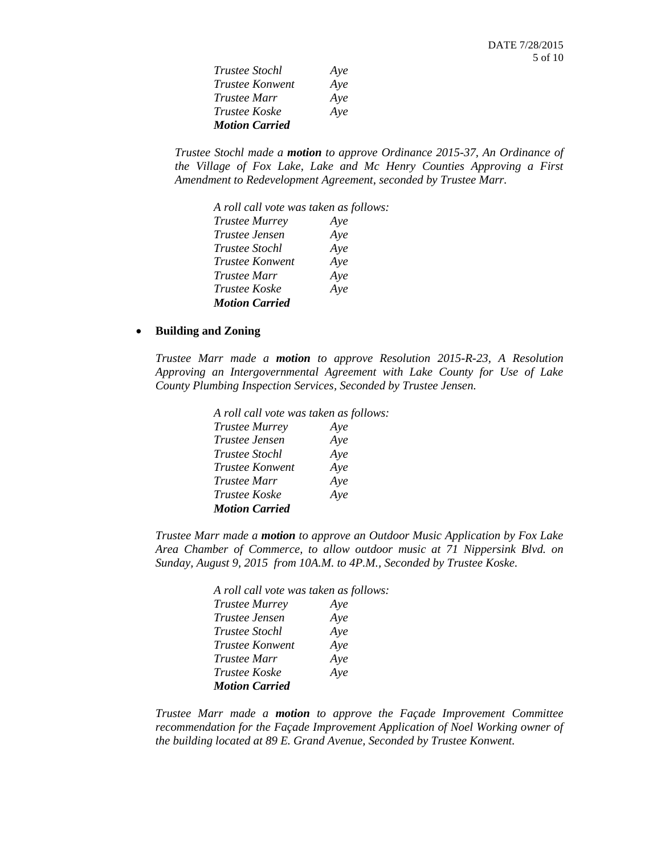| <i>Trustee Stochl</i> | Aye |
|-----------------------|-----|
| Trustee Konwent       | Aye |
| Trustee Marr          | Aye |
| <i>Trustee Koske</i>  | Aye |
| <b>Motion Carried</b> |     |

*Trustee Stochl made a motion to approve Ordinance 2015-37, An Ordinance of the Village of Fox Lake, Lake and Mc Henry Counties Approving a First Amendment to Redevelopment Agreement*, *seconded by Trustee Marr.*

| A roll call vote was taken as follows: |     |
|----------------------------------------|-----|
| <b>Trustee Murrey</b>                  | Ave |
| <i>Trustee Jensen</i>                  | Aye |
| <i>Trustee Stochl</i>                  | Aye |
| <i>Trustee Konwent</i>                 | Aye |
| <i>Trustee Marr</i>                    | Aye |
| <i>Trustee Koske</i>                   | Aye |
| <b>Motion Carried</b>                  |     |

#### **Building and Zoning**

*Trustee Marr made a motion to approve Resolution 2015-R-23, A Resolution Approving an Intergovernmental Agreement with Lake County for Use of Lake County Plumbing Inspection Services, Seconded by Trustee Jensen.*

| A roll call vote was taken as follows: |     |
|----------------------------------------|-----|
| <b>Trustee Murrey</b>                  | Aye |
| Trustee Jensen                         | Aye |
| <i>Trustee Stochl</i>                  | Aye |
| Trustee Konwent                        | Aye |
| Trustee Marr                           | Aye |
| Trustee Koske                          | Aye |
| <b>Motion Carried</b>                  |     |

*Trustee Marr made a motion to approve an Outdoor Music Application by Fox Lake Area Chamber of Commerce, to allow outdoor music at 71 Nippersink Blvd. on Sunday, August 9, 2015 from 10A.M. to 4P.M., Seconded by Trustee Koske.*

| A roll call vote was taken as follows: |     |
|----------------------------------------|-----|
| <b>Trustee Murrey</b>                  | Aye |
| Trustee Jensen                         | Aye |
| <i>Trustee Stochl</i>                  | Aye |
| Trustee Konwent                        | Aye |
| <i>Trustee Marr</i>                    | Aye |
| Trustee Koske                          | Aye |
| <b>Motion Carried</b>                  |     |

*Trustee Marr made a motion to approve the Façade Improvement Committee recommendation for the Façade Improvement Application of Noel Working owner of the building located at 89 E. Grand Avenue, Seconded by Trustee Konwent.*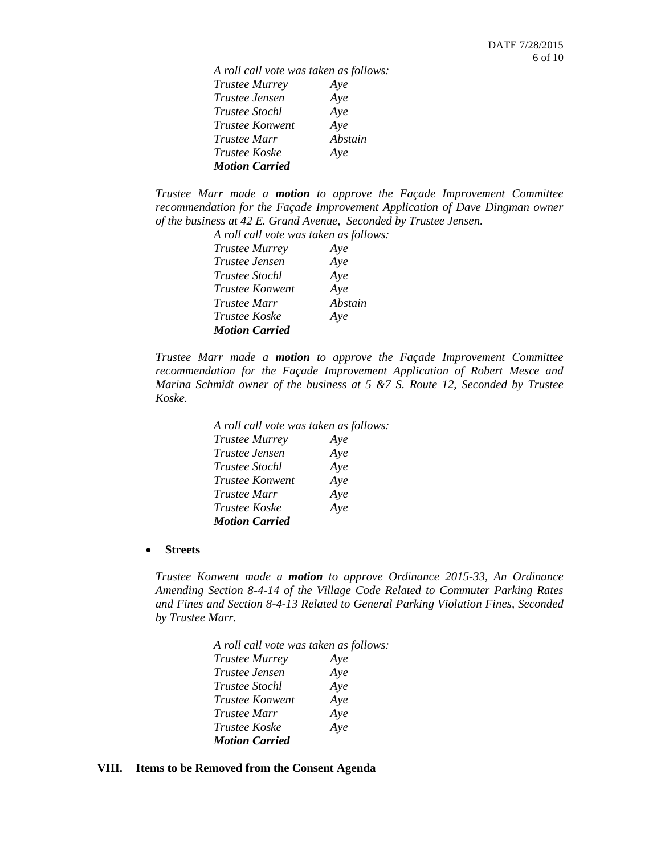*A roll call vote was taken as follows: Trustee Murrey Aye Trustee Jensen Aye Trustee Stochl Aye Trustee Konwent Aye Trustee Marr Abstain Trustee Koske Aye Motion Carried*

*Trustee Marr made a motion to approve the Façade Improvement Committee recommendation for the Façade Improvement Application of Dave Dingman owner of the business at 42 E. Grand Avenue, Seconded by Trustee Jensen.*

> *A roll call vote was taken as follows: Trustee Murrey Aye Trustee Jensen Aye Trustee Stochl Aye Trustee Konwent Aye Trustee Marr Abstain Trustee Koske Aye Motion Carried*

*Trustee Marr made a motion to approve the Façade Improvement Committee recommendation for the Façade Improvement Application of Robert Mesce and Marina Schmidt owner of the business at 5 &7 S. Route 12, Seconded by Trustee Koske.*

| A roll call vote was taken as follows: |
|----------------------------------------|
| Ave                                    |
| Aye                                    |
| Aye                                    |
| Aye                                    |
| Aye                                    |
| Aye                                    |
|                                        |
|                                        |

**Streets**

*Trustee Konwent made a motion to approve Ordinance 2015-33, An Ordinance Amending Section 8-4-14 of the Village Code Related to Commuter Parking Rates and Fines and Section 8-4-13 Related to General Parking Violation Fines, Seconded by Trustee Marr.*

| A roll call vote was taken as follows: |     |
|----------------------------------------|-----|
| <b>Trustee Murrey</b>                  | Aye |
| Trustee Jensen                         | Aye |
| Trustee Stochl                         | Aye |
| Trustee Konwent                        | Aye |
| Trustee Marr                           | Aye |
| Trustee Koske                          | Aye |
| <b>Motion Carried</b>                  |     |

#### **VIII. Items to be Removed from the Consent Agenda**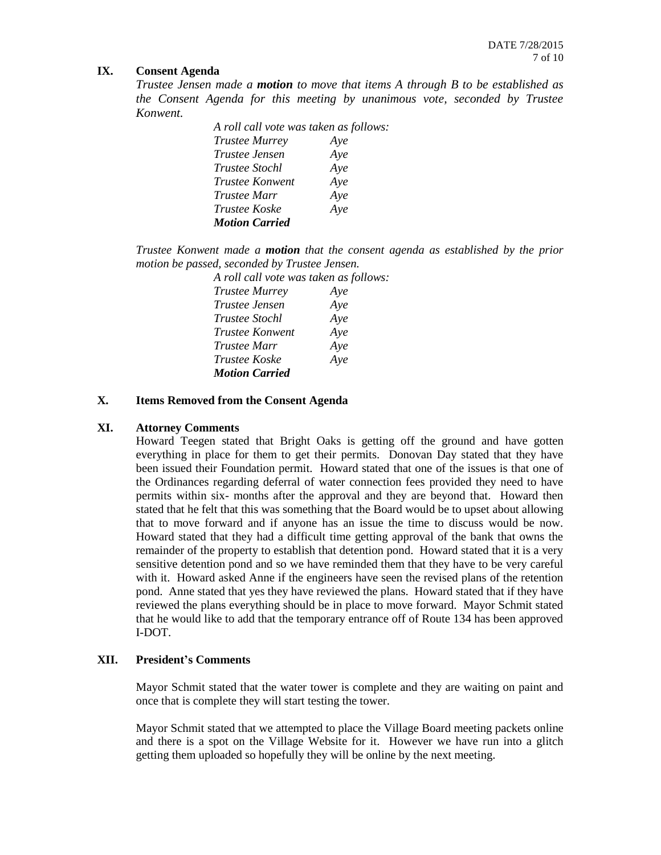## **IX. Consent Agenda**

*Trustee Jensen made a motion to move that items A through B to be established as the Consent Agenda for this meeting by unanimous vote, seconded by Trustee Konwent.*

| A roll call vote was taken as follows: |     |
|----------------------------------------|-----|
| <b>Trustee Murrey</b>                  | Ave |
| Trustee Jensen                         | Aye |
| <i>Trustee Stochl</i>                  | Aye |
| <i>Trustee Konwent</i>                 | Aye |
| <i>Trustee Marr</i>                    | Aye |
| <i>Trustee Koske</i>                   | Aye |
| <b>Motion Carried</b>                  |     |

*Trustee Konwent made a motion that the consent agenda as established by the prior motion be passed, seconded by Trustee Jensen.*

| A roll call vote was taken as follows: |     |
|----------------------------------------|-----|
| <b>Trustee Murrey</b>                  | Aye |
| <i>Trustee Jensen</i>                  | Aye |
| Trustee Stochl                         | Aye |
| <i>Trustee Konwent</i>                 | Aye |
| <i>Trustee Marr</i>                    | Aye |
| Trustee Koske                          | Aye |
| <b>Motion Carried</b>                  |     |

#### **X. Items Removed from the Consent Agenda**

## **XI. Attorney Comments**

Howard Teegen stated that Bright Oaks is getting off the ground and have gotten everything in place for them to get their permits. Donovan Day stated that they have been issued their Foundation permit. Howard stated that one of the issues is that one of the Ordinances regarding deferral of water connection fees provided they need to have permits within six- months after the approval and they are beyond that. Howard then stated that he felt that this was something that the Board would be to upset about allowing that to move forward and if anyone has an issue the time to discuss would be now. Howard stated that they had a difficult time getting approval of the bank that owns the remainder of the property to establish that detention pond. Howard stated that it is a very sensitive detention pond and so we have reminded them that they have to be very careful with it. Howard asked Anne if the engineers have seen the revised plans of the retention pond. Anne stated that yes they have reviewed the plans. Howard stated that if they have reviewed the plans everything should be in place to move forward. Mayor Schmit stated that he would like to add that the temporary entrance off of Route 134 has been approved I-DOT.

## **XII. President's Comments**

Mayor Schmit stated that the water tower is complete and they are waiting on paint and once that is complete they will start testing the tower.

Mayor Schmit stated that we attempted to place the Village Board meeting packets online and there is a spot on the Village Website for it. However we have run into a glitch getting them uploaded so hopefully they will be online by the next meeting.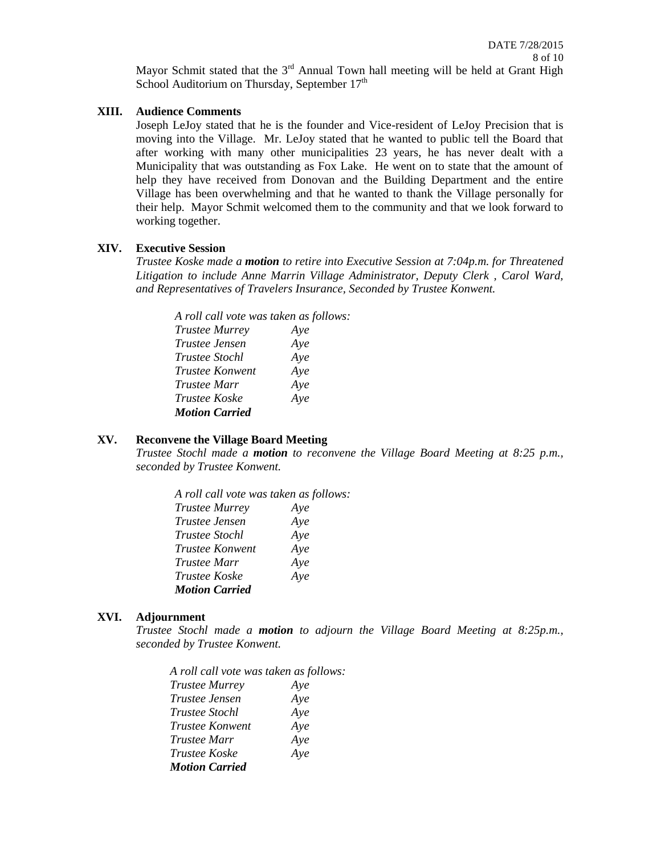Mayor Schmit stated that the  $3<sup>rd</sup>$  Annual Town hall meeting will be held at Grant High School Auditorium on Thursday, September  $17<sup>th</sup>$ 

#### **XIII. Audience Comments**

Joseph LeJoy stated that he is the founder and Vice-resident of LeJoy Precision that is moving into the Village. Mr. LeJoy stated that he wanted to public tell the Board that after working with many other municipalities 23 years, he has never dealt with a Municipality that was outstanding as Fox Lake. He went on to state that the amount of help they have received from Donovan and the Building Department and the entire Village has been overwhelming and that he wanted to thank the Village personally for their help. Mayor Schmit welcomed them to the community and that we look forward to working together.

## **XIV. Executive Session**

*Trustee Koske made a motion to retire into Executive Session at 7:04p.m. for Threatened Litigation to include Anne Marrin Village Administrator, Deputy Clerk , Carol Ward, and Representatives of Travelers Insurance, Seconded by Trustee Konwent.*

*A roll call vote was taken as follows: Trustee Murrey Aye Trustee Jensen Aye Trustee Stochl Aye Trustee Konwent Aye Trustee Marr Aye Trustee Koske Aye Motion Carried* 

# **XV. Reconvene the Village Board Meeting**

*Trustee Stochl made a motion to reconvene the Village Board Meeting at 8:25 p.m., seconded by Trustee Konwent.*

*A roll call vote was taken as follows: Trustee Murrey Aye Trustee Jensen Aye Trustee Stochl Aye Trustee Konwent Aye Trustee Marr Aye Trustee Koske Aye Motion Carried*

## **XVI. Adjournment**

*Trustee Stochl made a motion to adjourn the Village Board Meeting at 8:25p.m., seconded by Trustee Konwent.*

*A roll call vote was taken as follows: Trustee Murrey Aye Trustee Jensen Aye Trustee Stochl Aye Trustee Konwent Aye Trustee Marr Aye Trustee Koske Aye Motion Carried*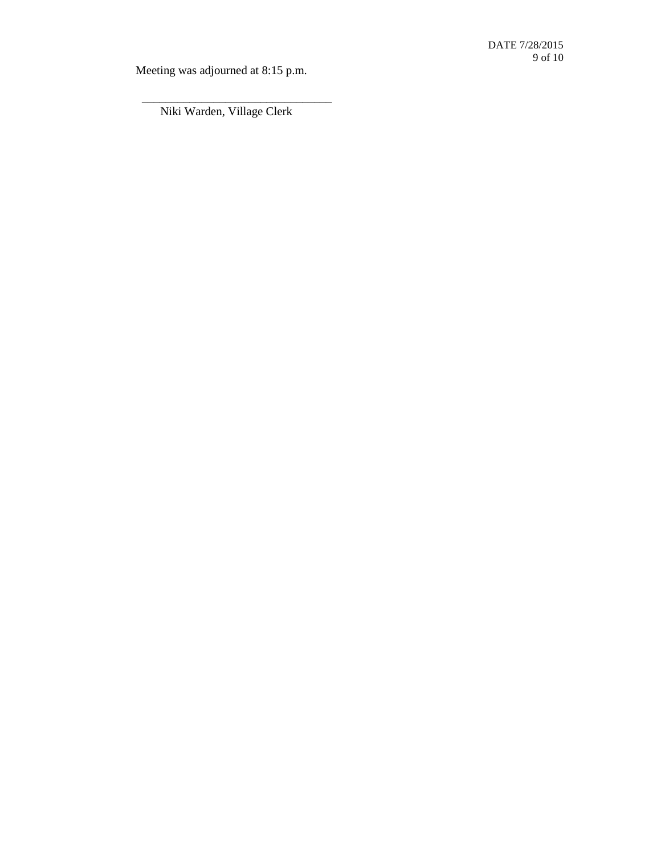Meeting was adjourned at 8:15 p.m.

Niki Warden, Village Clerk

\_\_\_\_\_\_\_\_\_\_\_\_\_\_\_\_\_\_\_\_\_\_\_\_\_\_\_\_\_\_\_\_